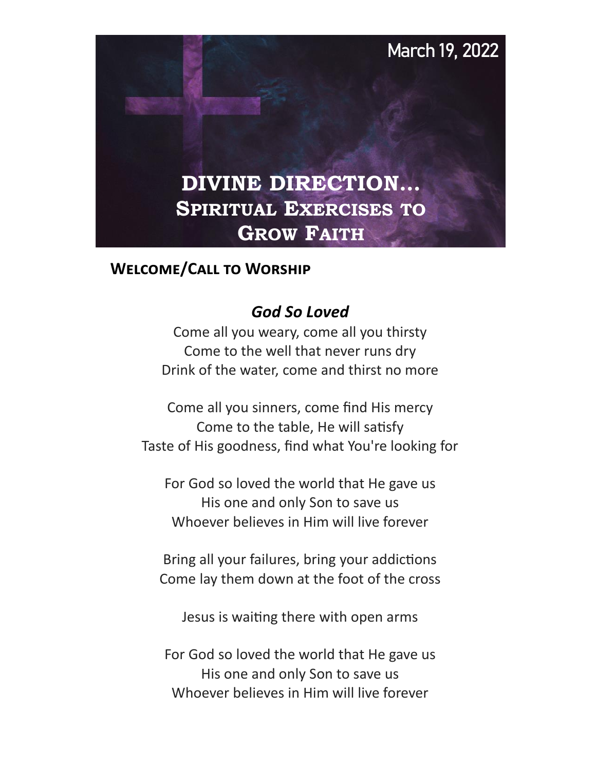

## **Welcome/Call to Worship**

## *God So Loved*

Come all you weary, come all you thirsty Come to the well that never runs dry Drink of the water, come and thirst no more

Come all you sinners, come find His mercy Come to the table, He will satisfy Taste of His goodness, find what You're looking for

For God so loved the world that He gave us His one and only Son to save us Whoever believes in Him will live forever

Bring all your failures, bring your addictions Come lay them down at the foot of the cross

Jesus is waiting there with open arms

For God so loved the world that He gave us His one and only Son to save us Whoever believes in Him will live forever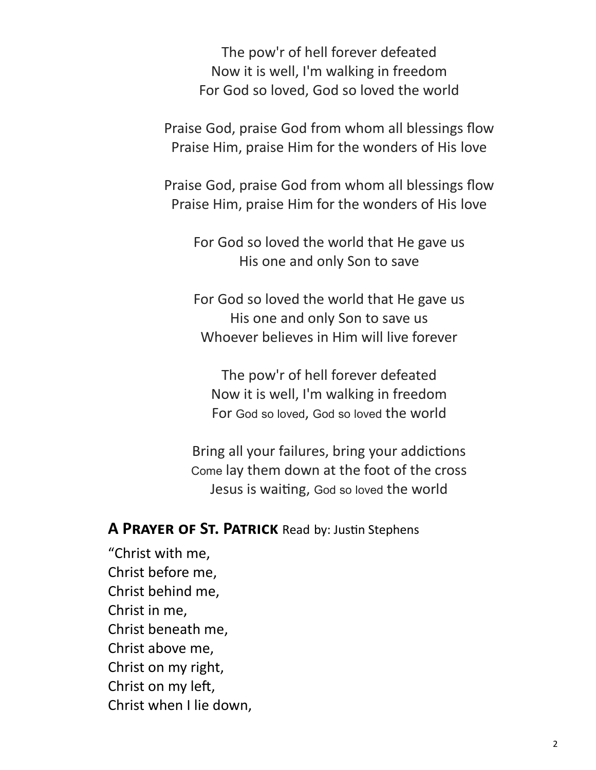The pow'r of hell forever defeated Now it is well, I'm walking in freedom For God so loved, God so loved the world

Praise God, praise God from whom all blessings flow Praise Him, praise Him for the wonders of His love

Praise God, praise God from whom all blessings flow Praise Him, praise Him for the wonders of His love

For God so loved the world that He gave us His one and only Son to save

For God so loved the world that He gave us His one and only Son to save us Whoever believes in Him will live forever

The pow'r of hell forever defeated Now it is well, I'm walking in freedom For God so loved, God so loved the world

Bring all your failures, bring your addictions Come lay them down at the foot of the cross Jesus is waiting, God so loved the world

#### **A PRAYER OF ST. PATRICK** Read by: Justin Stephens

"Christ with me, Christ before me, Christ behind me, Christ in me, Christ beneath me, Christ above me, Christ on my right, Christ on my left, Christ when I lie down,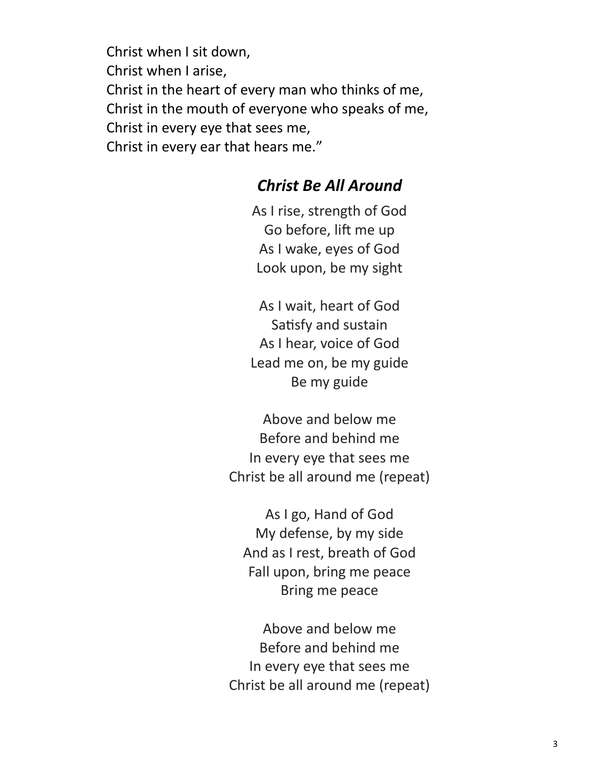Christ when I sit down, Christ when I arise, Christ in the heart of every man who thinks of me, Christ in the mouth of everyone who speaks of me, Christ in every eye that sees me, Christ in every ear that hears me."

## *Christ Be All Around*

As I rise, strength of God Go before, lift me up As I wake, eyes of God Look upon, be my sight

As I wait, heart of God Satisfy and sustain As I hear, voice of God Lead me on, be my guide Be my guide

Above and below me Before and behind me In every eye that sees me Christ be all around me (repeat)

As I go, Hand of God My defense, by my side And as I rest, breath of God Fall upon, bring me peace Bring me peace

Above and below me Before and behind me In every eye that sees me Christ be all around me (repeat)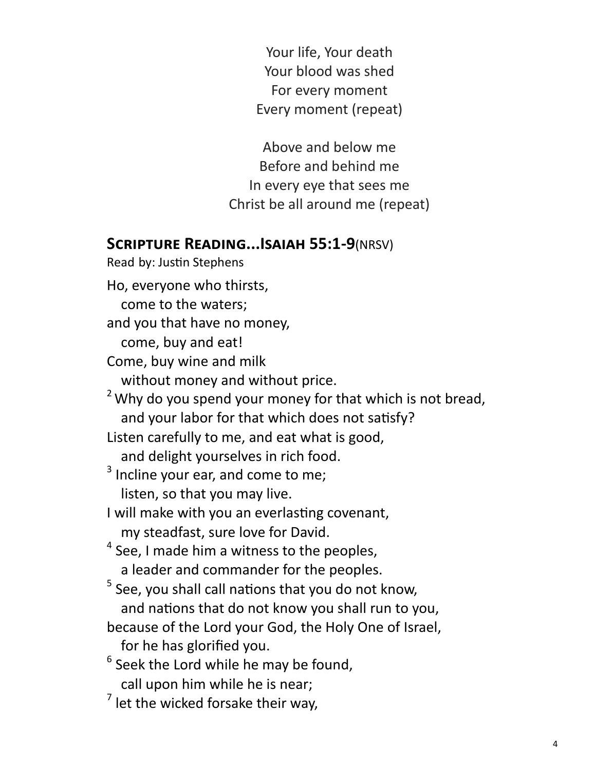Your life, Your death Your blood was shed For every moment Every moment (repeat)

Above and below me Before and behind me In every eye that sees me Christ be all around me (repeat)

## **Scripture Reading...Isaiah 55:1-9**(NRSV)

Read by: Justin Stephens Ho, everyone who thirsts,

come to the waters;

and you that have no money,

come, buy and eat!

Come, buy wine and milk

without money and without price.

 $2$  Why do you spend your money for that which is not bread, and your labor for that which does not satisfy?

Listen carefully to me, and eat what is good,

and delight yourselves in rich food.

 $3$  Incline your ear, and come to me;

listen, so that you may live.

I will make with you an everlasting covenant, my steadfast, sure love for David.

 $<sup>4</sup>$  See, I made him a witness to the peoples,</sup> a leader and commander for the peoples.

<sup>5</sup> See, you shall call nations that you do not know,

and nations that do not know you shall run to you,

because of the Lord your God, the Holy One of Israel,

for he has glorified you.

 $<sup>6</sup>$  Seek the Lord while he may be found,</sup> call upon him while he is near;

 $<sup>7</sup>$  let the wicked forsake their way,</sup>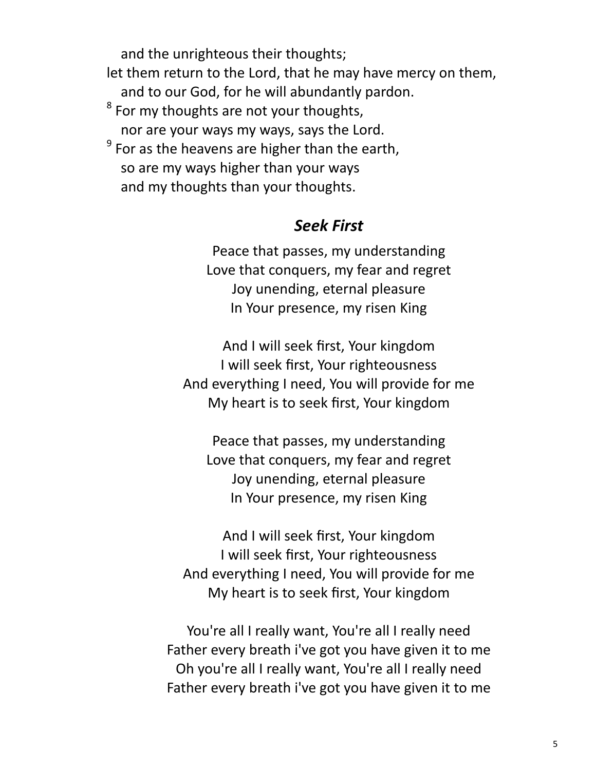and the unrighteous their thoughts; let them return to the Lord, that he may have mercy on them, and to our God, for he will abundantly pardon.  $^8$  For my thoughts are not your thoughts, nor are your ways my ways, says the Lord.  $^9$  For as the heavens are higher than the earth, so are my ways higher than your ways and my thoughts than your thoughts.

## *Seek First*

Peace that passes, my understanding Love that conquers, my fear and regret Joy unending, eternal pleasure In Your presence, my risen King

And I will seek first, Your kingdom I will seek first, Your righteousness And everything I need, You will provide for me My heart is to seek first, Your kingdom

Peace that passes, my understanding Love that conquers, my fear and regret Joy unending, eternal pleasure In Your presence, my risen King

And I will seek first, Your kingdom I will seek first, Your righteousness And everything I need, You will provide for me My heart is to seek first, Your kingdom

You're all I really want, You're all I really need Father every breath i've got you have given it to me Oh you're all I really want, You're all I really need Father every breath i've got you have given it to me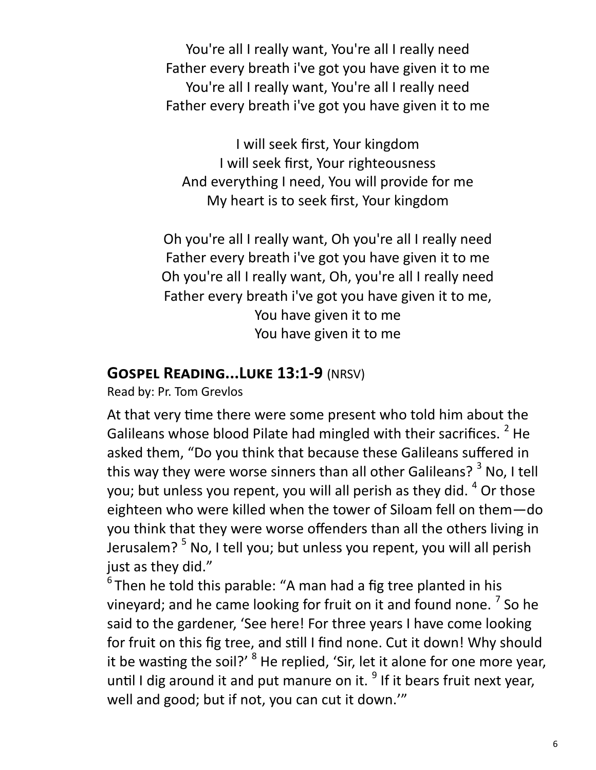You're all I really want, You're all I really need Father every breath i've got you have given it to me You're all I really want, You're all I really need Father every breath i've got you have given it to me

I will seek first, Your kingdom I will seek first, Your righteousness And everything I need, You will provide for me My heart is to seek first, Your kingdom

Oh you're all I really want, Oh you're all I really need Father every breath i've got you have given it to me Oh you're all I really want, Oh, you're all I really need Father every breath i've got you have given it to me, You have given it to me You have given it to me

## **Gospel Reading...Luke 13:1-9** (NRSV)

Read by: Pr. Tom Grevlos

At that very time there were some present who told him about the Galileans whose blood Pilate had mingled with their sacrifices. <sup>2</sup> He asked them, "Do you think that because these Galileans suffered in this way they were worse sinners than all other Galileans?  $3$  No, I tell you; but unless you repent, you will all perish as they did.  $4$  Or those eighteen who were killed when the tower of Siloam fell on them—do you think that they were worse offenders than all the others living in Jerusalem?<sup>5</sup> No, I tell you; but unless you repent, you will all perish just as they did."

 $6$ Then he told this parable: "A man had a fig tree planted in his vineyard; and he came looking for fruit on it and found none. <sup>7</sup> So he said to the gardener, 'See here! For three years I have come looking for fruit on this fig tree, and still I find none. Cut it down! Why should it be wasting the soil?' <sup>8</sup> He replied, 'Sir, let it alone for one more year, until I dig around it and put manure on it.  $9$  If it bears fruit next year, well and good; but if not, you can cut it down.'"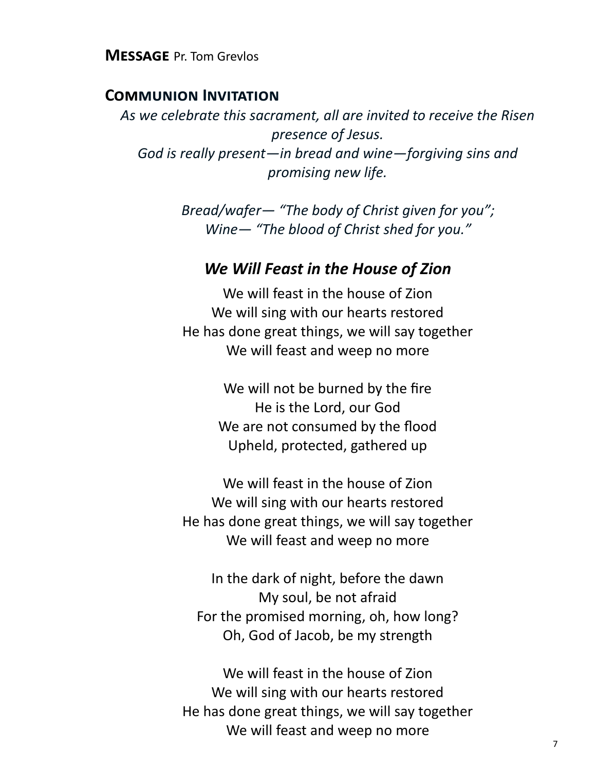**Message** Pr. Tom Grevlos

#### **Communion Invitation**

*As we celebrate this sacrament, all are invited to receive the Risen presence of Jesus. God is really present—in bread and wine—forgiving sins and promising new life.* 

> *Bread/wafer— "The body of Christ given for you"; Wine— "The blood of Christ shed for you."*

## *We Will Feast in the House of Zion*

We will feast in the house of Zion We will sing with our hearts restored He has done great things, we will say together We will feast and weep no more

> We will not be burned by the fire He is the Lord, our God We are not consumed by the flood Upheld, protected, gathered up

We will feast in the house of Zion We will sing with our hearts restored He has done great things, we will say together We will feast and weep no more

In the dark of night, before the dawn My soul, be not afraid For the promised morning, oh, how long? Oh, God of Jacob, be my strength

We will feast in the house of Zion We will sing with our hearts restored He has done great things, we will say together We will feast and weep no more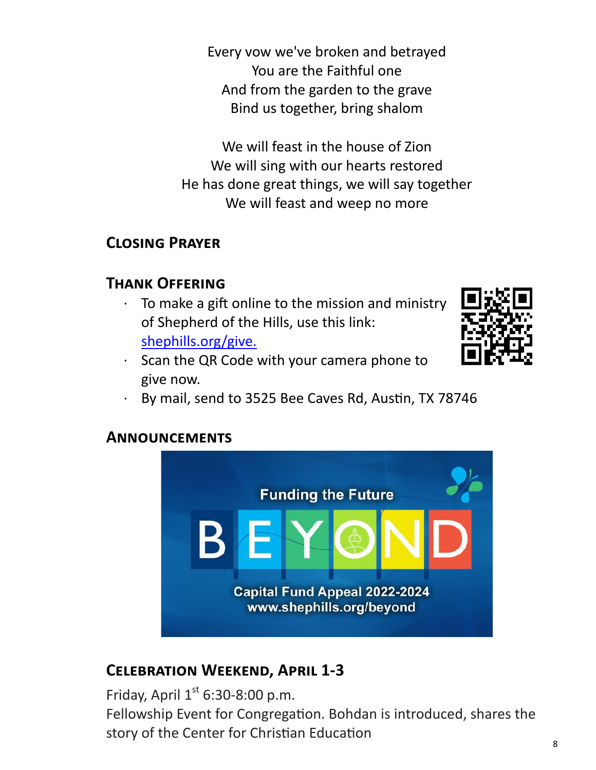Every vow we've broken and betrayed You are the Faithful one And from the garden to the grave Bind us together, bring shalom

We will feast in the house of Zion We will sing with our hearts restored He has done great things, we will say together We will feast and weep no more

## **Closing Prayer**

## **Thank Offering**

To make a gift online to the mission and ministry of Shepherd of the Hills, use this link: [shephills.org/give.](https://shephills.org/give/)





· By mail, send to 3525 Bee Caves Rd, Austin, TX 78746

## **Announcements**



# **Celebration Weekend, April 1-3**

Friday, April  $1<sup>st</sup>$  6:30-8:00 p.m. Fellowship Event for Congregation. Bohdan is introduced, shares the story of the Center for Christian Education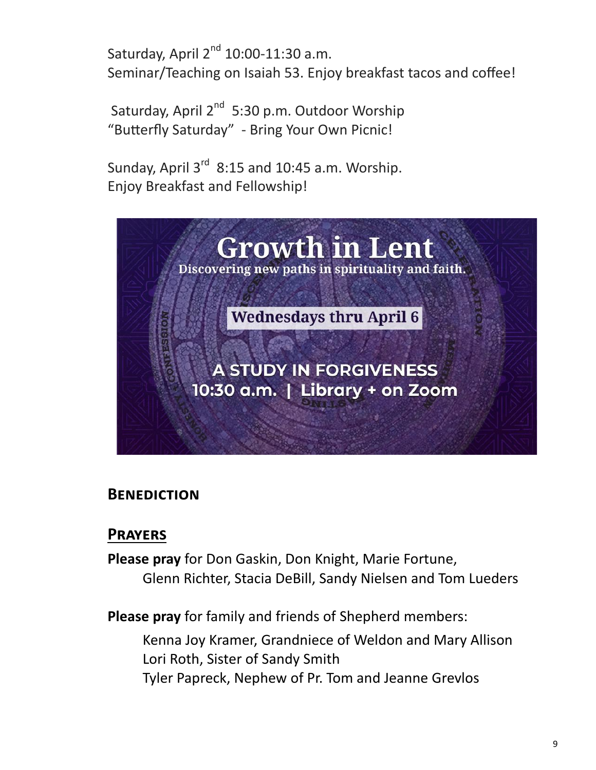Saturday, April  $2^{nd}$  10:00-11:30 a.m. Seminar/Teaching on Isaiah 53. Enjoy breakfast tacos and coffee!

Saturday, April 2<sup>nd</sup> 5:30 p.m. Outdoor Worship "Butterfly Saturday" - Bring Your Own Picnic!

Sunday, April  $3^{rd}$  8:15 and 10:45 a.m. Worship. Enjoy Breakfast and Fellowship!



## **Benediction**

## **Prayers**

**Please pray** for Don Gaskin, Don Knight, Marie Fortune, Glenn Richter, Stacia DeBill, Sandy Nielsen and Tom Lueders

**Please pray** for family and friends of Shepherd members:

Kenna Joy Kramer, Grandniece of Weldon and Mary Allison Lori Roth, Sister of Sandy Smith Tyler Papreck, Nephew of Pr. Tom and Jeanne Grevlos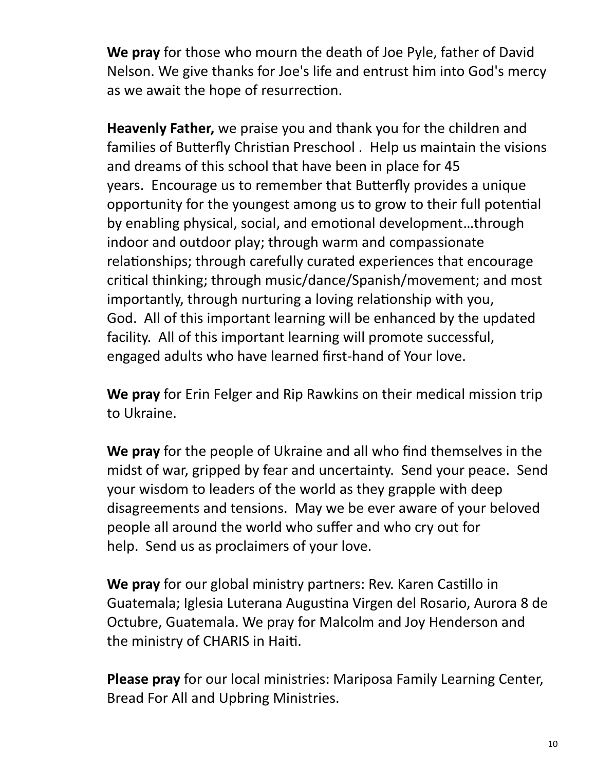**We pray** for those who mourn the death of Joe Pyle, father of David Nelson. We give thanks for Joe's life and entrust him into God's mercy as we await the hope of resurrection.

**Heavenly Father,** we praise you and thank you for the children and families of Butterfly Christian Preschool . Help us maintain the visions and dreams of this school that have been in place for 45 years. Encourage us to remember that Butterfly provides a unique opportunity for the youngest among us to grow to their full potential by enabling physical, social, and emotional development…through indoor and outdoor play; through warm and compassionate relationships; through carefully curated experiences that encourage critical thinking; through music/dance/Spanish/movement; and most importantly, through nurturing a loving relationship with you, God. All of this important learning will be enhanced by the updated facility. All of this important learning will promote successful, engaged adults who have learned first-hand of Your love.

**We pray** for Erin Felger and Rip Rawkins on their medical mission trip to Ukraine.

**We pray** for the people of Ukraine and all who find themselves in the midst of war, gripped by fear and uncertainty. Send your peace. Send your wisdom to leaders of the world as they grapple with deep disagreements and tensions. May we be ever aware of your beloved people all around the world who suffer and who cry out for help. Send us as proclaimers of your love.

**We pray** for our global ministry partners: Rev. Karen Castillo in Guatemala; Iglesia Luterana Augustina Virgen del Rosario, Aurora 8 de Octubre, Guatemala. We pray for Malcolm and Joy Henderson and the ministry of CHARIS in Haiti.

**Please pray** for our local ministries: Mariposa Family Learning Center, Bread For All and Upbring Ministries.